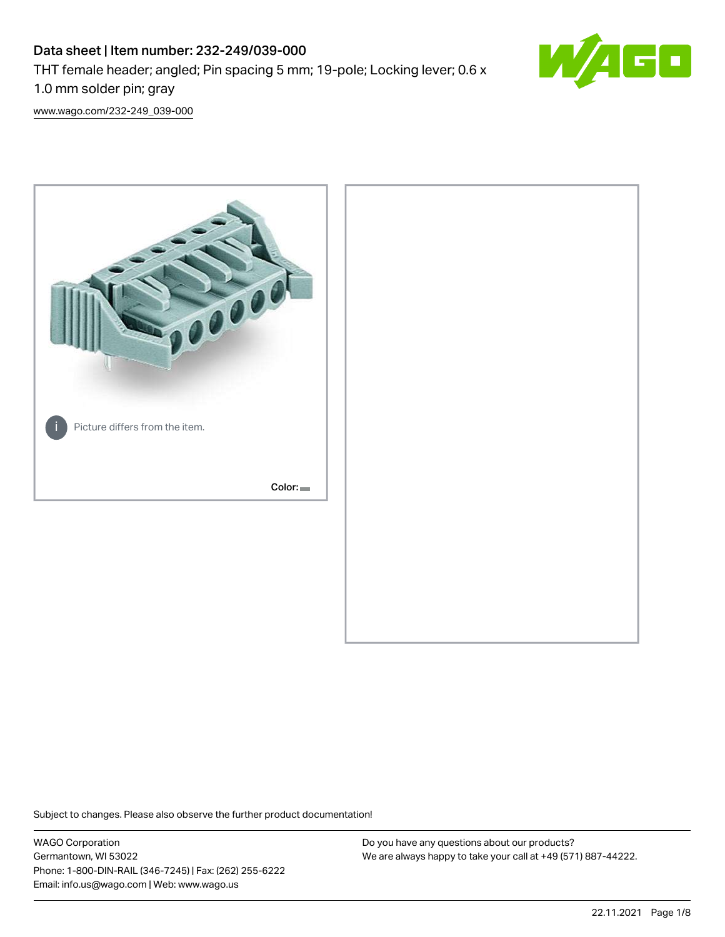# Data sheet | Item number: 232-249/039-000 THT female header; angled; Pin spacing 5 mm; 19-pole; Locking lever; 0.6 x 1.0 mm solder pin; gray



[www.wago.com/232-249\\_039-000](http://www.wago.com/232-249_039-000)



Subject to changes. Please also observe the further product documentation!

WAGO Corporation Germantown, WI 53022 Phone: 1-800-DIN-RAIL (346-7245) | Fax: (262) 255-6222 Email: info.us@wago.com | Web: www.wago.us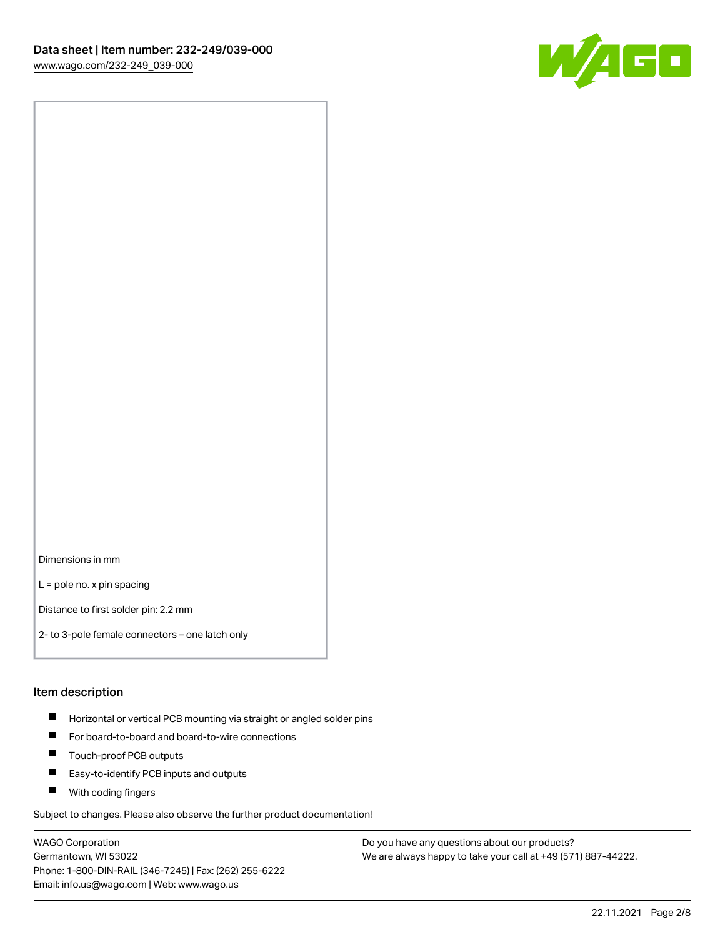

Dimensions in mm

L = pole no. x pin spacing

Distance to first solder pin: 2.2 mm

2- to 3-pole female connectors – one latch only

#### Item description

- **Horizontal or vertical PCB mounting via straight or angled solder pins**
- For board-to-board and board-to-wire connections
- $\blacksquare$ Touch-proof PCB outputs
- $\blacksquare$ Easy-to-identify PCB inputs and outputs
- **Now With coding fingers**

Subject to changes. Please also observe the further product documentation!

WAGO Corporation Germantown, WI 53022 Phone: 1-800-DIN-RAIL (346-7245) | Fax: (262) 255-6222 Email: info.us@wago.com | Web: www.wago.us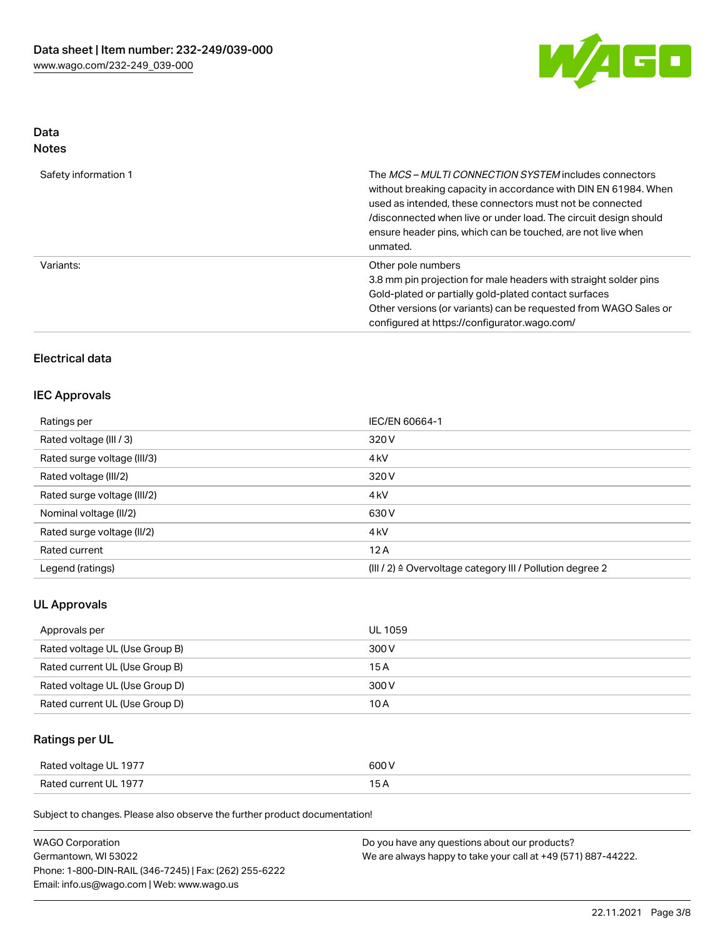

# Data

| Safety information 1 | The <i>MCS – MULTI CONNECTION SYSTEM</i> includes connectors<br>without breaking capacity in accordance with DIN EN 61984. When<br>used as intended, these connectors must not be connected<br>/disconnected when live or under load. The circuit design should<br>ensure header pins, which can be touched, are not live when<br>unmated. |
|----------------------|--------------------------------------------------------------------------------------------------------------------------------------------------------------------------------------------------------------------------------------------------------------------------------------------------------------------------------------------|
| Variants:            | Other pole numbers<br>3.8 mm pin projection for male headers with straight solder pins<br>Gold-plated or partially gold-plated contact surfaces<br>Other versions (or variants) can be requested from WAGO Sales or<br>configured at https://configurator.wago.com/                                                                        |

# Electrical data

### IEC Approvals

| Ratings per                 | IEC/EN 60664-1                                                       |
|-----------------------------|----------------------------------------------------------------------|
| Rated voltage (III / 3)     | 320 V                                                                |
| Rated surge voltage (III/3) | 4 <sub>k</sub> V                                                     |
| Rated voltage (III/2)       | 320 V                                                                |
| Rated surge voltage (III/2) | 4 <sub>k</sub> V                                                     |
| Nominal voltage (II/2)      | 630 V                                                                |
| Rated surge voltage (II/2)  | 4 <sub>k</sub> V                                                     |
| Rated current               | 12A                                                                  |
| Legend (ratings)            | (III / 2) $\triangleq$ Overvoltage category III / Pollution degree 2 |

### UL Approvals

| Approvals per                  | UL 1059 |
|--------------------------------|---------|
| Rated voltage UL (Use Group B) | 300 V   |
| Rated current UL (Use Group B) | 15 A    |
| Rated voltage UL (Use Group D) | 300 V   |
| Rated current UL (Use Group D) | 10 A    |

# Ratings per UL

| Rated voltage UL 1977 | 600 V |
|-----------------------|-------|
| Rated current UL 1977 |       |

Subject to changes. Please also observe the further product documentation!

| <b>WAGO Corporation</b>                                | Do you have any questions about our products?                 |
|--------------------------------------------------------|---------------------------------------------------------------|
| Germantown, WI 53022                                   | We are always happy to take your call at +49 (571) 887-44222. |
| Phone: 1-800-DIN-RAIL (346-7245)   Fax: (262) 255-6222 |                                                               |
| Email: info.us@wago.com   Web: www.wago.us             |                                                               |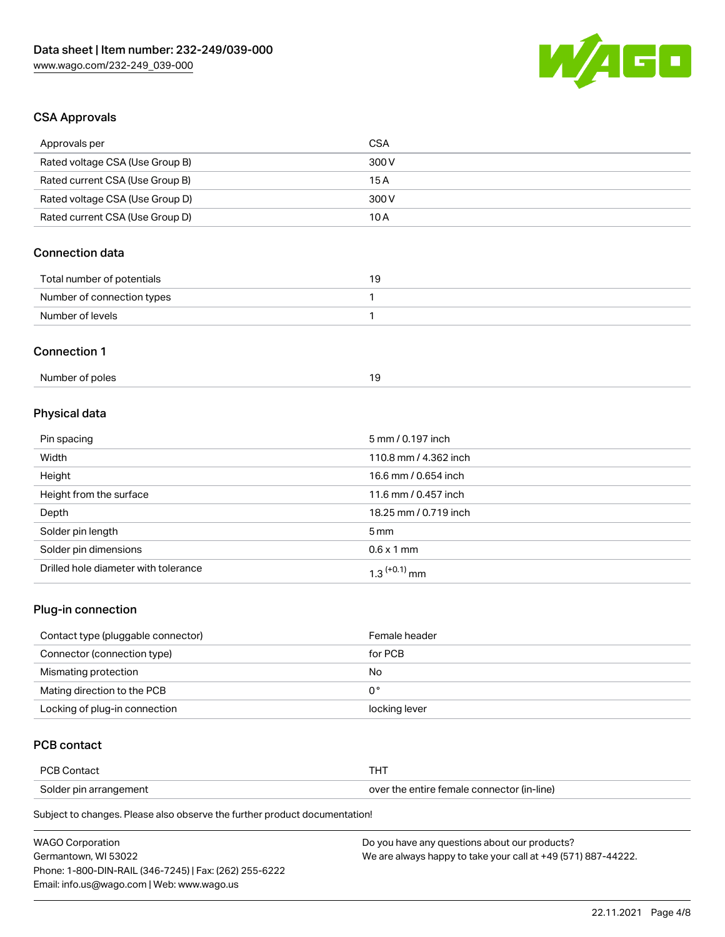

# CSA Approvals

| Approvals per                   | <b>CSA</b>            |
|---------------------------------|-----------------------|
| Rated voltage CSA (Use Group B) | 300 V                 |
| Rated current CSA (Use Group B) | 15A                   |
| Rated voltage CSA (Use Group D) | 300 V                 |
| Rated current CSA (Use Group D) | 10A                   |
| <b>Connection data</b>          |                       |
| Total number of potentials      | 19                    |
| Number of connection types      | 1                     |
| Number of levels                | 1                     |
| <b>Connection 1</b>             |                       |
| Number of poles                 | 19                    |
| Physical data                   |                       |
| Pin spacing                     | 5 mm / 0.197 inch     |
| Width                           | 110.8 mm / 4.362 inch |
| Height                          | 16.6 mm / 0.654 inch  |
| Height from the surface         | 11.6 mm / 0.457 inch  |
| Depth                           | 18.25 mm / 0.719 inch |
| Solder pin length               | 5 <sub>mm</sub>       |
| Solder pin dimensions           | $0.6 \times 1$ mm     |

### Plug-in connection

| Contact type (pluggable connector) | Female header |
|------------------------------------|---------------|
| Connector (connection type)        | for PCB       |
| Mismating protection               | No            |
| Mating direction to the PCB        | 0°            |
| Locking of plug-in connection      | locking lever |

# PCB contact

| <b>PCB Contact</b>     |                                            |
|------------------------|--------------------------------------------|
| Solder pin arrangement | over the entire female connector (in-line) |

Subject to changes. Please also observe the further product documentation!

Drilled hole diameter with tolerance  $1.3$   $(+0.1)$  mm

| <b>WAGO Corporation</b>                                | Do you have any questions about our products?                 |
|--------------------------------------------------------|---------------------------------------------------------------|
| Germantown. WI 53022                                   | We are always happy to take your call at +49 (571) 887-44222. |
| Phone: 1-800-DIN-RAIL (346-7245)   Fax: (262) 255-6222 |                                                               |
| Email: info.us@wago.com   Web: www.wago.us             |                                                               |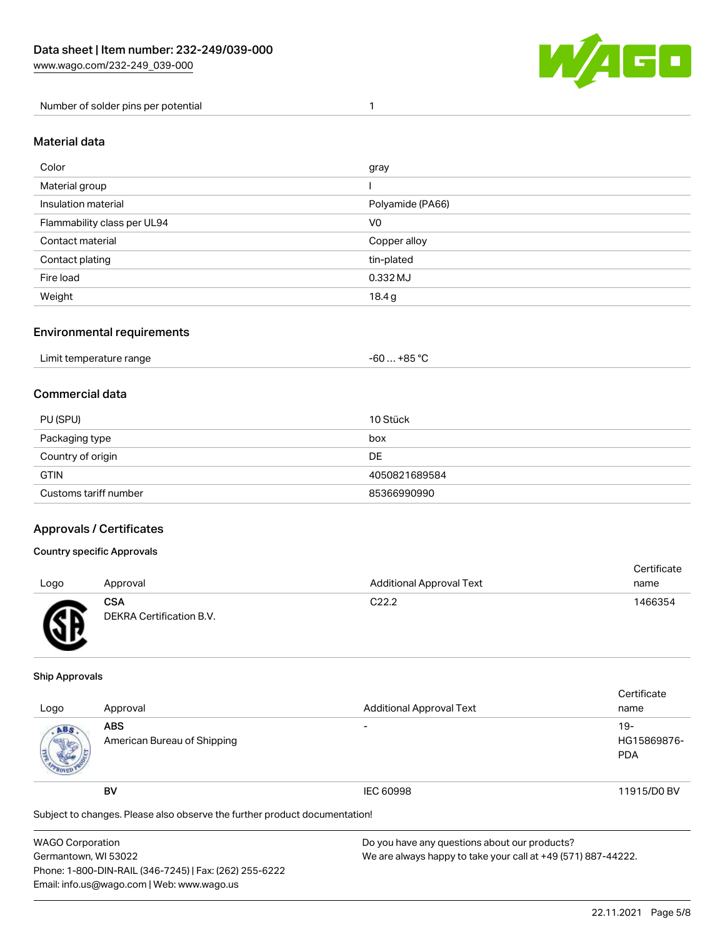

Number of solder pins per potential 1

#### Material data

| Color                       | gray             |
|-----------------------------|------------------|
| Material group              |                  |
| Insulation material         | Polyamide (PA66) |
| Flammability class per UL94 | V <sub>0</sub>   |
| Contact material            | Copper alloy     |
| Contact plating             | tin-plated       |
| Fire load                   | 0.332 MJ         |
| Weight                      | 18.4g            |

### Environmental requirements

| Limit temperature range | . +85 °Ր<br>co.<br>-ou |  |
|-------------------------|------------------------|--|
|-------------------------|------------------------|--|

### Commercial data

| PU (SPU)              | 10 Stück      |
|-----------------------|---------------|
| Packaging type        | box           |
| Country of origin     | DE            |
| <b>GTIN</b>           | 4050821689584 |
| Customs tariff number | 85366990990   |

### Approvals / Certificates

#### Country specific Approvals

| Logo | Approval                               | <b>Additional Approval Text</b> | Certificate<br>name |
|------|----------------------------------------|---------------------------------|---------------------|
| Æ    | <b>CSA</b><br>DEKRA Certification B.V. | C <sub>22.2</sub>               | 1466354             |

#### Ship Approvals

| Logo                                                                       | Approval                                  | <b>Additional Approval Text</b> | Certificate<br>name                |
|----------------------------------------------------------------------------|-------------------------------------------|---------------------------------|------------------------------------|
| ABS.                                                                       | <b>ABS</b><br>American Bureau of Shipping |                                 | $19-$<br>HG15869876-<br><b>PDA</b> |
|                                                                            | <b>BV</b>                                 | <b>IEC 60998</b>                | 11915/D0 BV                        |
| Subject to changes. Please also observe the further product documentation! |                                           |                                 |                                    |

| <b>WAGO Corporation</b>                                | Do you have any questions about our products?                 |
|--------------------------------------------------------|---------------------------------------------------------------|
| Germantown, WI 53022                                   | We are always happy to take your call at +49 (571) 887-44222. |
| Phone: 1-800-DIN-RAIL (346-7245)   Fax: (262) 255-6222 |                                                               |
| Email: info.us@wago.com   Web: www.wago.us             |                                                               |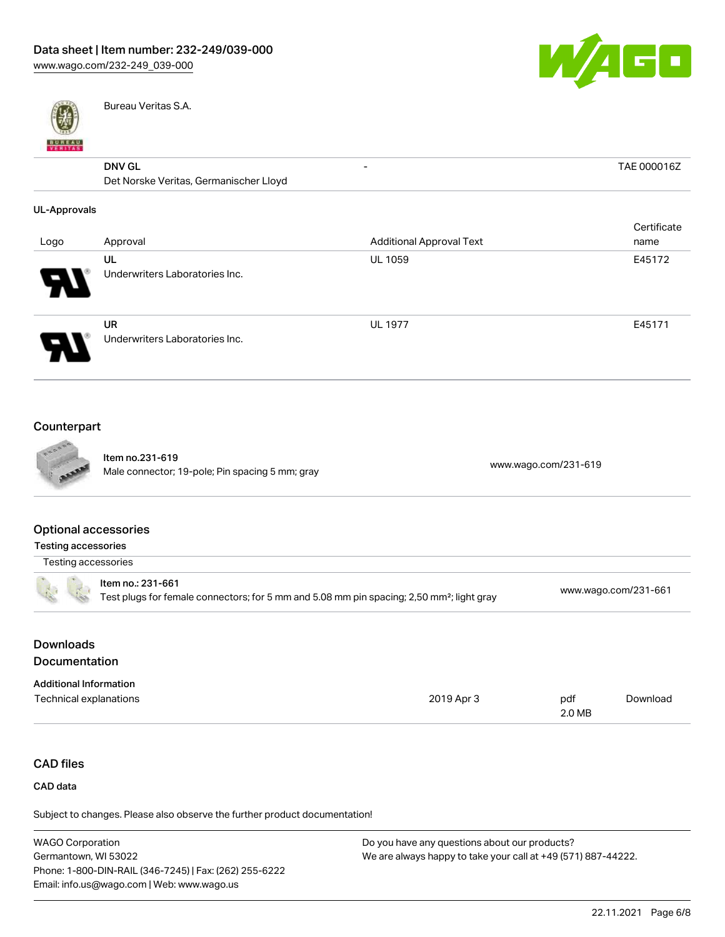

- TAE 000016Z



Bureau Veritas S.A.

# DNV GL

| <b>DNV GL</b>                          | - |
|----------------------------------------|---|
| Det Norske Veritas, Germanischer Lloyd |   |

#### UL-Approvals

| Logo | Approval                                    | <b>Additional Approval Text</b> | Certificate<br>name |
|------|---------------------------------------------|---------------------------------|---------------------|
| 8    | UL<br>Underwriters Laboratories Inc.        | <b>UL 1059</b>                  | E45172              |
| J    | <b>UR</b><br>Underwriters Laboratories Inc. | <b>UL 1977</b>                  | E45171              |

## Counterpart



Item no.231-619 Nell 110.251-619<br>Male connector; 19-pole; Pin spacing 5 mm; gray [www.wago.com/231-619](https://www.wago.com/231-619)

### Optional accessories

| Testing accessories                                                                                                        |                      |
|----------------------------------------------------------------------------------------------------------------------------|----------------------|
| Testing accessories                                                                                                        |                      |
| ltem no.: 231-661<br>Test plugs for female connectors; for 5 mm and 5.08 mm pin spacing; 2,50 mm <sup>2</sup> ; light gray | www.wago.com/231-661 |
|                                                                                                                            |                      |

# Downloads **Documentation**

| <b>Additional Information</b> |            |        |          |
|-------------------------------|------------|--------|----------|
| Technical explanations        | 2019 Apr 3 | pdf    | Download |
|                               |            | 2.0 MB |          |

# CAD files

#### CAD data

Subject to changes. Please also observe the further product documentation!

| <b>WAGO Corporation</b>                                | Do you have any questions about our products?                 |
|--------------------------------------------------------|---------------------------------------------------------------|
| Germantown, WI 53022                                   | We are always happy to take your call at +49 (571) 887-44222. |
| Phone: 1-800-DIN-RAIL (346-7245)   Fax: (262) 255-6222 |                                                               |
| Email: info.us@wago.com   Web: www.wago.us             |                                                               |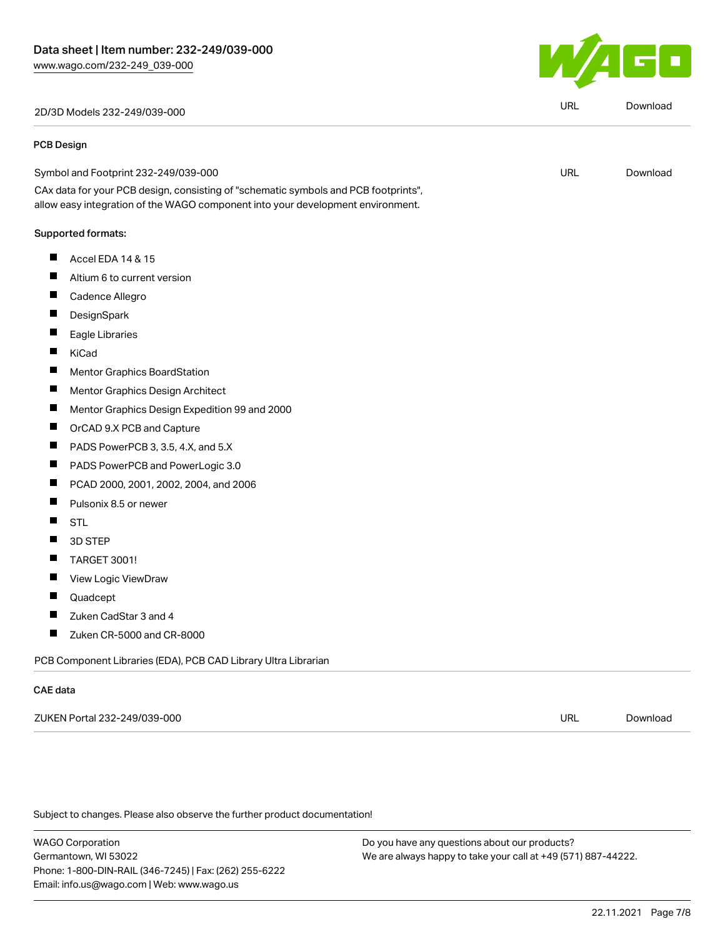2D/3D Models 232-249/039-000 URL [Download](https://www.wago.com/global/d/3D_URLS_232-249_039-000)

#### PCB Design

Symbol and Footprint 232-249/039-000 CAx data for your PCB design, consisting of "schematic symbols and PCB footprints", URL [Download](https://www.wago.com/global/d/UltraLibrarian_URLS_232-249_039-000)

allow easy integration of the WAGO component into your development environment.

#### Supported formats:

- $\blacksquare$ Accel EDA 14 & 15
- ш Altium 6 to current version
- П Cadence Allegro
- П **DesignSpark**
- П Eagle Libraries
- KiCad  $\blacksquare$
- П Mentor Graphics BoardStation
- П Mentor Graphics Design Architect
- П Mentor Graphics Design Expedition 99 and 2000
- $\blacksquare$ OrCAD 9.X PCB and Capture
- $\blacksquare$ PADS PowerPCB 3, 3.5, 4.X, and 5.X
- П PADS PowerPCB and PowerLogic 3.0
- П PCAD 2000, 2001, 2002, 2004, and 2006
- П Pulsonix 8.5 or newer
- П **STL**
- $\blacksquare$ 3D STEP
- $\blacksquare$ TARGET 3001!
- $\blacksquare$ View Logic ViewDraw
- П Quadcept
- П Zuken CadStar 3 and 4
- $\blacksquare$ Zuken CR-5000 and CR-8000

PCB Component Libraries (EDA), PCB CAD Library Ultra Librarian

#### CAE data

ZUKEN Portal 232-249/039-000 URL [Download](https://www.wago.com/global/d/Zuken_URLS_232-249_039-000)

Subject to changes. Please also observe the further product documentation!

WAGO Corporation Germantown, WI 53022 Phone: 1-800-DIN-RAIL (346-7245) | Fax: (262) 255-6222 Email: info.us@wago.com | Web: www.wago.us